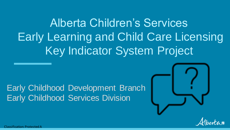Alberta Children's Services Early Learning and Child Care Licensing Key Indicator System Project

#### Early Childhood Development Branch Early Childhood Services Division





itication: Protected A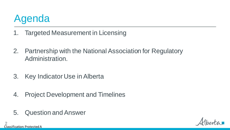# Agenda

- 1. Targeted Measurement in Licensing
- 2. Partnership with the National Association for Regulatory Administration.
- 3. Key Indicator Use in Alberta
- 4. Project Development and Timelines
- 5. Question and Answer

Classification: Protected A 2

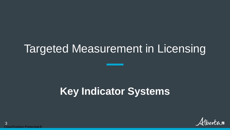# Targeted Measurement in Licensing

# **Key Indicator Systems**

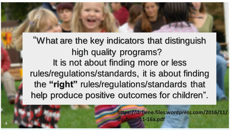"What are the key indicators that distinguish high quality programs? It is not about finding more or less rules/regulations/standards, it is about finding the **"right"** rules/regulations/standards that help produce positive outcomes for children".

> **https://drfiene.files.wordpress.com/2016/11/ trc-fiene-11-16a.pdf**

Classification: Protected A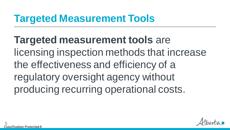### **Targeted Measurement Tools**

**Targeted measurement tools** are licensing inspection methods that increase the effectiveness and efficiency of a regulatory oversight agency without producing recurring operational costs.

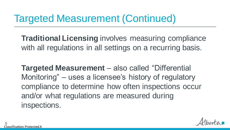### Targeted Measurement (Continued)

**Traditional Licensing** involves measuring compliance with all regulations in all settings on a recurring basis.

**Targeted Measurement** – also called "Differential Monitoring" – uses a licensee's history of regulatory compliance to determine how often inspections occur and/or what regulations are measured during inspections.

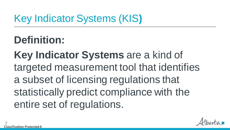# Key Indicator Systems (KIS**)**

**Definition:**

**Key Indicator Systems** are a kind of targeted measurement tool that identifies a subset of licensing regulations that statistically predict compliance with the entire set of regulations.

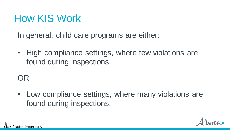### How KIS Work

In general, child care programs are either:

• High compliance settings, where few violations are found during inspections.

OR

• Low compliance settings, where many violations are found during inspections.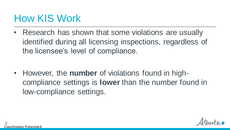### How KIS Work

• Research has shown that some violations are usually identified during all licensing inspections, regardless of the licensee's level of compliance.

• However, the **number** of violations found in highcompliance settings is **lower** than the number found in low-compliance settings.

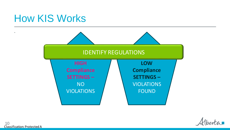### How KIS Works





Classification: Protected A 10

.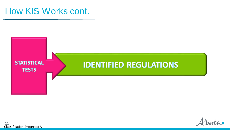#### How KIS Works cont.





Classification: Protected A 11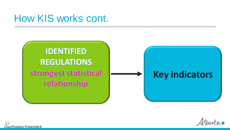### How KIS works cont.

### **IDENTIFIED REGULATIONS** strongest statistical relationship

### **Key Indicators**



Classification: Protected A 12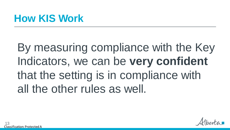### **How KIS Work**

By measuring compliance with the Key Indicators, we can be **very confident** that the setting is in compliance with all the other rules as well.

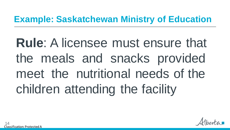### **Example: Saskatchewan Ministry of Education**

**Rule**: A licensee must ensure that the meals and snacks provided meet the nutritional needs of the children attending the facility

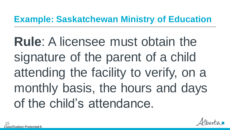### **Example: Saskatchewan Ministry of Education**

**Rule**: A licensee must obtain the signature of the parent of a child attending the facility to verify, on a monthly basis, the hours and days of the child's attendance.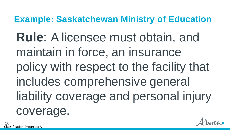### **Example: Saskatchewan Ministry of Education**

**Rule**: A licensee must obtain, and maintain in force, an insurance policy with respect to the facility that includes comprehensive general liability coverage and personal injury coverage.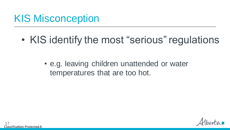### KIS Misconception

• KIS identify the most "serious" regulations

• e.g. leaving children unattended or water temperatures that are too hot.

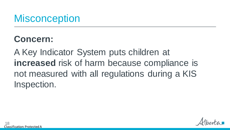### **Misconception**

### **Concern:**

A Key Indicator System puts children at **increased** risk of harm because compliance is not measured with all regulations during a KIS Inspection.

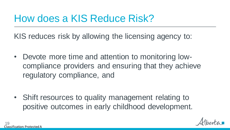### How does a KIS Reduce Risk?

KIS reduces risk by allowing the licensing agency to:

• Devote more time and attention to monitoring lowcompliance providers and ensuring that they achieve regulatory compliance, and

• Shift resources to quality management relating to positive outcomes in early childhood development.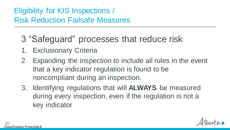#### Eligibility for KIS Inspections / Risk Reduction Failsafe Measures

- 3 "Safeguard" processes that reduce risk
- 1. Exclusionary Criteria
- 2. Expanding the inspection to include all rules in the event that a key indicator regulation is found to be noncompliant during an inspection.
- 3. Identifying regulations that will **ALWAYS** be measured during every inspection, even if the regulation is not a key indicator

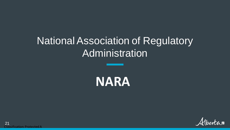### National Association of Regulatory Administration



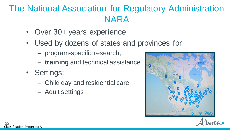### The National Association for Regulatory Administration NARA

- Over 30+ years experience
- Used by dozens of states and provinces for
	- program-specific research,
	- **training** and technical assistance
- Settings:
	- Child day and residential care
	- Adult settings

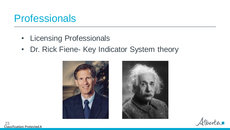### **Professionals**

- Licensing Professionals
- Dr. Rick Fiene- Key Indicator System theory





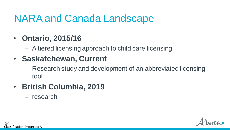### NARA and Canada Landscape

#### • **Ontario, 2015/16**

– A tiered licensing approach to child care licensing.

#### • **Saskatchewan, Current**

– Research study and development of an abbreviated licensing tool

#### • **British Columbia, 2019**

– research

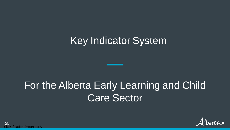### Key Indicator System

### For the Alberta Early Learning and Child Care Sector

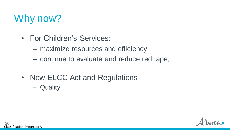

- For Children's Services:
	- maximize resources and efficiency
	- continue to evaluate and reduce red tape;
- New ELCC Act and Regulations
	- Quality

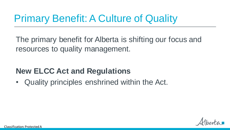## Primary Benefit: A Culture of Quality

The primary benefit for Alberta is shifting our focus and resources to quality management.

#### **New ELCC Act and Regulations**

• Quality principles enshrined within the Act.

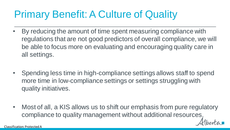# Primary Benefit: A Culture of Quality

- By reducing the amount of time spent measuring compliance with regulations that are not good predictors of overall compliance, we will be able to focus more on evaluating and encouraging quality care in all settings.
- Spending less time in high-compliance settings allows staff to spend more time in low-compliance settings or settings struggling with quality initiatives.
- Most of all, a KIS allows us to shift our emphasis from pure regulatory compliance to quality management without additional resources.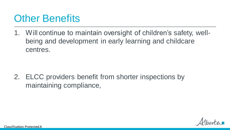### **Other Benefits**

1. Will continue to maintain oversight of children's safety, wellbeing and development in early learning and childcare centres.

2. ELCC providers benefit from shorter inspections by maintaining compliance,

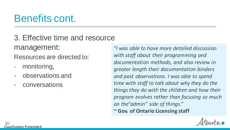### Benefits cont.

3. Effective time and resource management:

Resources are directed to:

- monitoring,
- observations and
- conversations

"*I was able to have more detailed discussion with staff about their programming and documentation methods, and also review in greater length their documentation binders and past observations. I was able to spend time with staff to talk about why they do the things they do with the children and how their program evolves rather than focusing so much on the"admin" side of things."*  **~ Gov. of Ontario Licensing staff**

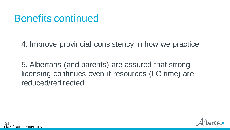### Benefits continued

4. Improve provincial consistency in how we practice

5. Albertans (and parents) are assured that strong licensing continues even if resources (LO time) are reduced/redirected.

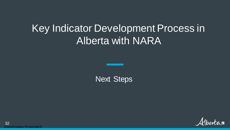### Key Indicator Development Process in Alberta with NARA

Next Steps

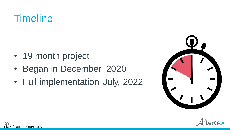### **Timeline**

- 19 month project
- Began in December, 2020
- Full implementation July, 2022



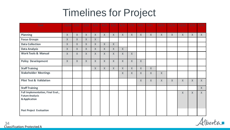# Timelines for Project

| <b>Task</b>                                                                  | 12/20        | 1/21   | 2/21         | 3/21         | 4/21   | 5/21         | 6/21         | 7/21   | 8/21         | 9/21     | 10/21  | 11/21 | 12/21  | 1/22   | 2/22         |
|------------------------------------------------------------------------------|--------------|--------|--------------|--------------|--------|--------------|--------------|--------|--------------|----------|--------|-------|--------|--------|--------------|
| <b>Planning</b>                                                              | $\mathsf{X}$ | X      | $\chi$       | $\chi$       | X      | $\chi$       | $\chi$       | $\chi$ | $\mathsf{X}$ | $\chi$   | $\chi$ | X     | X      | X      | $\chi$       |
| <b>Focus Groups</b>                                                          | X            | X      | $\mathsf{X}$ | $\chi$       |        |              |              |        |              |          |        |       |        |        |              |
| <b>Data Collection</b>                                                       | X            | X      | $\chi$       | $\times$     | X      | $\chi$       |              |        |              |          |        |       |        |        |              |
| <b>Data Analysis</b>                                                         | $\chi$       | $\chi$ | $\chi$       | $\mathsf{X}$ | X      | $\chi$       | $\chi$       |        |              |          |        |       |        |        |              |
| <b>Work Tools &amp; Manual</b>                                               | $\mathsf{X}$ | X      | X            | $\times$     | $\chi$ | $\chi$       | $\chi$       | $\chi$ |              |          |        |       |        |        |              |
| <b>Policy Development</b>                                                    | $\mathsf{X}$ | X      | $\chi$       | $\times$     | $\chi$ | $\chi$       | $\chi$       | $\chi$ | $\chi$       |          |        |       |        |        |              |
| <b>Staff Training</b>                                                        |              |        |              | $\times$     | X      | $\mathsf{X}$ | $\mathsf{X}$ | X      | $\chi$       | X        |        |       |        |        |              |
| <b>Stakeholder Meetings</b>                                                  |              |        |              |              |        |              | $\chi$       | X      | $\times$     | $\times$ | $\chi$ |       |        |        |              |
| <b>Pilot Test &amp; Validation</b>                                           |              |        |              |              |        |              |              |        | X            | $\times$ | $\chi$ | X     | $\chi$ | X      | $\chi$       |
| <b>Staff Training</b>                                                        |              |        |              |              |        |              |              |        |              |          |        |       |        |        | $\mathsf{X}$ |
| Full Implementation, Final Eval.,<br><b>Future Analysis</b><br>& Application |              |        |              |              |        |              |              |        |              |          |        |       | X      | $\chi$ | $\mathsf{X}$ |
| <b>Post Project Evaluation</b>                                               |              |        |              |              |        |              |              |        |              |          |        |       |        |        |              |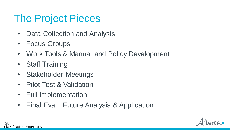### The Project Pieces

- Data Collection and Analysis
- Focus Groups
- Work Tools & Manual and Policy Development
- Staff Training
- Stakeholder Meetings
- Pilot Test & Validation
- Full Implementation
- Final Eval., Future Analysis & Application

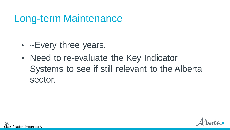### Long-term Maintenance

- ~Every three years.
- Need to re-evaluate the Key Indicator Systems to see if still relevant to the Alberta sector.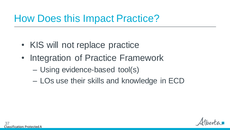### How Does this Impact Practice?

- KIS will not replace practice
- Integration of Practice Framework
	- Using evidence-based tool(s)
	- LOs use their skills and knowledge in ECD

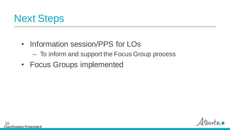

- Information session/PPS for LOs
	- To inform and support the Focus Group process
- Focus Groups implemented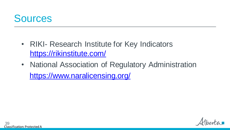

- RIKI- Research Institute for Key Indicators https://rikinstitute.com/
- National Association of Regulatory Administration https://www.naralicensing.org/